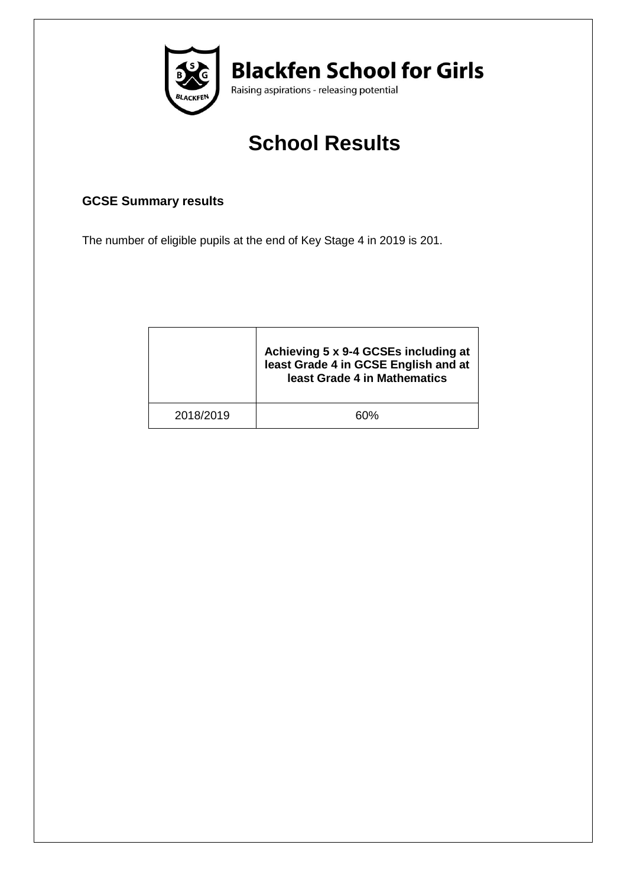

# **School Results**

## **GCSE Summary results**

The number of eligible pupils at the end of Key Stage 4 in 2019 is 201.

|           | Achieving 5 x 9-4 GCSEs including at<br>least Grade 4 in GCSE English and at<br>least Grade 4 in Mathematics |
|-----------|--------------------------------------------------------------------------------------------------------------|
| 2018/2019 | ናበ%                                                                                                          |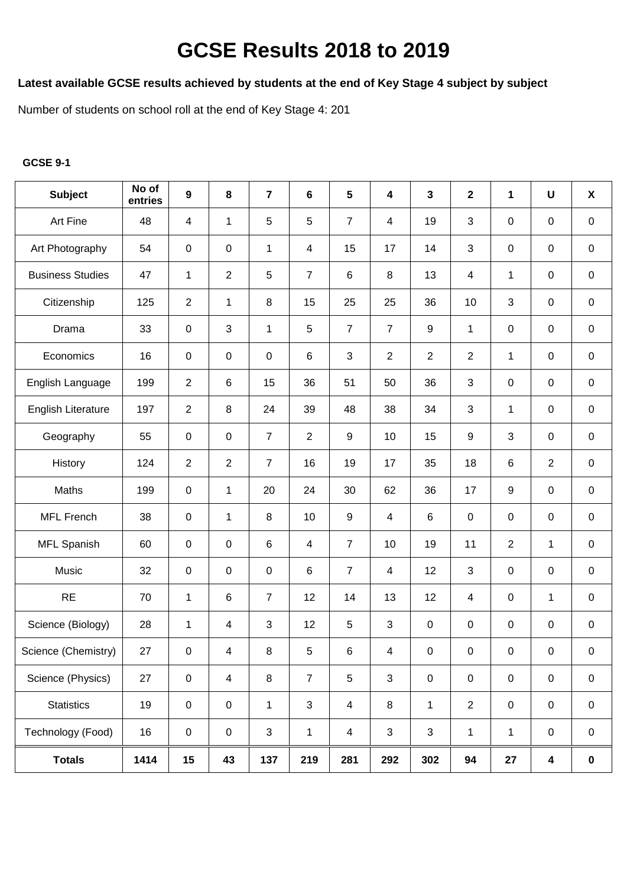## **GCSE Results 2018 to 2019**

### **Latest available GCSE results achieved by students at the end of Key Stage 4 subject by subject**

Number of students on school roll at the end of Key Stage 4: 201

#### **GCSE 9-1**

| <b>Subject</b>            | No of<br>entries | $\boldsymbol{9}$        | 8              | $\overline{7}$ | 6              | $5\phantom{.0}$         | 4                       | $\mathbf{3}$     | $\overline{\mathbf{2}}$ | 1                | $\pmb{\pmb{\pmb{\cup}}}$ | $\boldsymbol{\mathsf{X}}$ |
|---------------------------|------------------|-------------------------|----------------|----------------|----------------|-------------------------|-------------------------|------------------|-------------------------|------------------|--------------------------|---------------------------|
| Art Fine                  | 48               | $\overline{\mathbf{4}}$ | $\mathbf{1}$   | 5              | 5              | $\overline{7}$          | 4                       | 19               | 3                       | 0                | 0                        | $\pmb{0}$                 |
| Art Photography           | 54               | $\pmb{0}$               | $\mathbf 0$    | 1              | $\overline{4}$ | 15                      | 17                      | 14               | 3                       | $\pmb{0}$        | 0                        | $\mathbf 0$               |
| <b>Business Studies</b>   | 47               | $\mathbf{1}$            | $\overline{2}$ | $\overline{5}$ | $\overline{7}$ | 6                       | 8                       | 13               | 4                       | 1                | 0                        | $\mathbf 0$               |
| Citizenship               | 125              | $\overline{2}$          | $\mathbf{1}$   | $\,8\,$        | 15             | 25                      | 25                      | 36               | 10                      | 3                | $\pmb{0}$                | 0                         |
| Drama                     | 33               | $\pmb{0}$               | $\mathfrak{S}$ | $\mathbf 1$    | 5              | $\overline{7}$          | $\overline{7}$          | $\boldsymbol{9}$ | 1                       | $\pmb{0}$        | $\pmb{0}$                | $\pmb{0}$                 |
| Economics                 | 16               | $\pmb{0}$               | $\pmb{0}$      | $\pmb{0}$      | $\,6\,$        | 3                       | $\overline{2}$          | $\overline{2}$   | $\overline{2}$          | $\mathbf{1}$     | $\mathsf 0$              | $\pmb{0}$                 |
| English Language          | 199              | $\overline{2}$          | $\,6\,$        | 15             | 36             | 51                      | 50                      | 36               | $\mathfrak{S}$          | $\pmb{0}$        | $\pmb{0}$                | $\mathbf 0$               |
| <b>English Literature</b> | 197              | $\overline{2}$          | 8              | 24             | 39             | 48                      | 38                      | 34               | 3                       | 1                | 0                        | 0                         |
| Geography                 | 55               | $\pmb{0}$               | $\mathbf 0$    | $\overline{7}$ | $\overline{2}$ | 9                       | 10                      | 15               | $9\,$                   | 3                | 0                        | $\mathbf 0$               |
| History                   | 124              | $\overline{2}$          | $\overline{2}$ | $\overline{7}$ | 16             | 19                      | 17                      | 35               | 18                      | $\,6\,$          | $\overline{2}$           | $\mathbf 0$               |
| Maths                     | 199              | $\pmb{0}$               | $\mathbf{1}$   | 20             | 24             | 30                      | 62                      | 36               | 17                      | $\boldsymbol{9}$ | $\pmb{0}$                | 0                         |
| <b>MFL French</b>         | 38               | $\pmb{0}$               | $\mathbf 1$    | $\, 8$         | 10             | 9                       | $\overline{\mathbf{4}}$ | $\,6\,$          | $\mathsf 0$             | $\pmb{0}$        | $\mathsf 0$              | 0                         |
| MFL Spanish               | 60               | $\pmb{0}$               | $\pmb{0}$      | $\,6\,$        | $\overline{4}$ | $\overline{7}$          | 10                      | 19               | 11                      | $\overline{2}$   | $\mathbf 1$              | $\pmb{0}$                 |
| Music                     | 32               | $\pmb{0}$               | $\pmb{0}$      | $\pmb{0}$      | $\,6\,$        | $\overline{7}$          | $\overline{4}$          | 12               | $\mathfrak{S}$          | $\pmb{0}$        | $\mathsf 0$              | $\pmb{0}$                 |
| <b>RE</b>                 | 70               | $\mathbf{1}$            | $\,6\,$        | $\overline{7}$ | 12             | 14                      | 13                      | 12               | $\overline{4}$          | $\pmb{0}$        | 1                        | 0                         |
| Science (Biology)         | 28               | 1                       | $\overline{4}$ | $\mathbf{3}$   | 12             | 5                       | 3                       | $\pmb{0}$        | $\mathbf 0$             | $\pmb{0}$        | 0                        | 0                         |
| Science (Chemistry)       | 27               | $\boldsymbol{0}$        | $\overline{4}$ | 8              | 5 <sub>5</sub> | 6                       | $\overline{4}$          | $\mathbf 0$      | $\mathbf 0$             | $\overline{0}$   | $\overline{0}$           | $\mathbf 0$               |
| Science (Physics)         | 27               | $\pmb{0}$               | $\overline{4}$ | $\bf 8$        | $\overline{7}$ | 5                       | 3                       | $\pmb{0}$        | $\pmb{0}$               | $\pmb{0}$        | $\mathbf 0$              | $\boldsymbol{0}$          |
| <b>Statistics</b>         | 19               | $\pmb{0}$               | $\pmb{0}$      | $\mathbf{1}$   | $\mathbf{3}$   | $\overline{\mathbf{4}}$ | 8                       | $\mathbf{1}$     | $\mathbf{2}$            | $\pmb{0}$        | $\mathbf 0$              | 0                         |
| Technology (Food)         | 16               | $\pmb{0}$               | $\pmb{0}$      | 3              | $\mathbf{1}$   | $\overline{4}$          | 3                       | $\mathfrak{S}$   | $\mathbf{1}$            | 1                | $\mathsf 0$              | 0                         |
| <b>Totals</b>             | 1414             | 15                      | 43             | 137            | 219            | 281                     | 292                     | 302              | 94                      | 27               | $\overline{\mathbf{4}}$  | $\pmb{0}$                 |